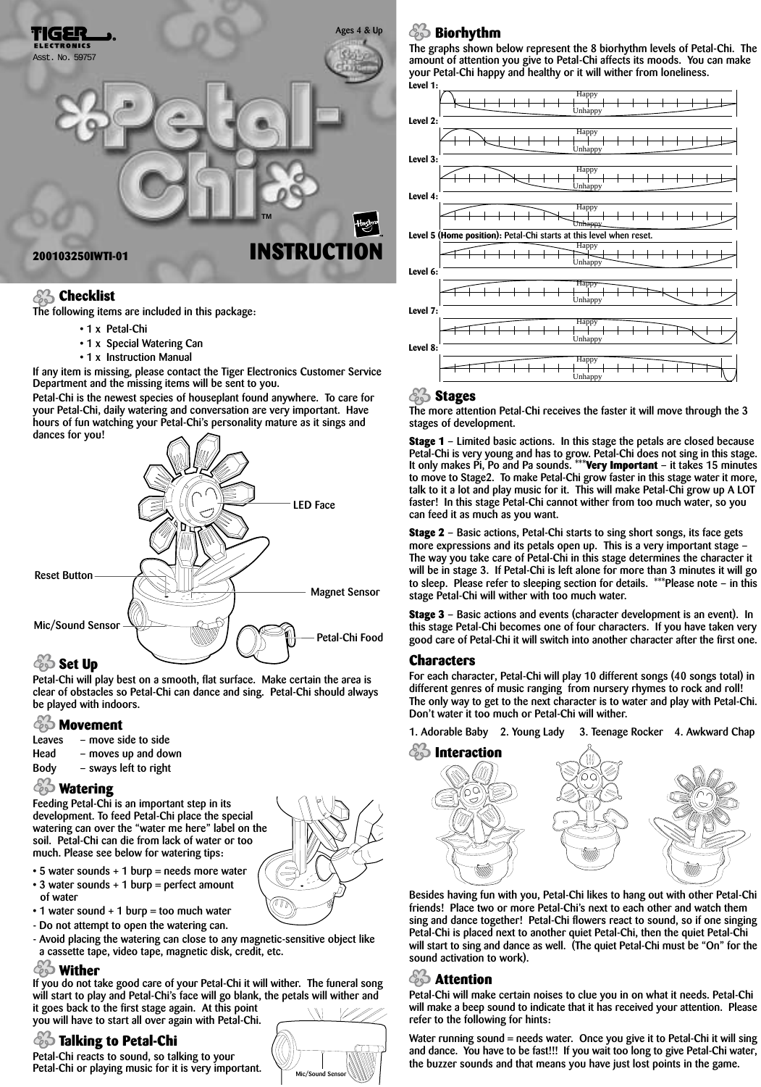

#### *Checklist*

**The following items are included in this package:**

- **1 x Petal-Chi**
- **1 x Special Watering Can**
- **1 x Instruction Manual**

**If any item is missing, please contact the Tiger Electronics Customer Service Department and the missing items will be sent to you.**

**Petal-Chi is the newest species of houseplant found anywhere. To care for your Petal-Chi, daily watering and conversation are very important. Have hours of fun watching your Petal-Chi's personality mature as it sings and dances for you!**



# **Set Up**

**Petal-Chi will play best on a smooth, flat surface. Make certain the area is clear of obstacles so Petal-Chi can dance and sing. Petal-Chi should always be played with indoors.**

# **Movement**<br>Leaves – move si

- **Leaves move side to side**
- **Head moves up and down**
- **Body sways left to right**

#### **Watering**

**Feeding Petal-Chi is an important step in its development. To feed Petal-Chi place the special watering can over the "water me here" label on the soil. Petal-Chi can die from lack of water or too much. Please see below for watering tips:**

- **5 water sounds + 1 burp = needs more water**
- **3 water sounds + 1 burp = perfect amount of water**
- **1 water sound + 1 burp = too much water**
- **Do not attempt to open the watering can.**
- **Avoid placing the watering can close to any magnetic-sensitive object like a cassette tape, video tape, magnetic disk, credit, etc.**

#### **Wither**

**If you do not take good care of your Petal-Chi it will wither. The funeral song will start to play and Petal-Chi's face will go blank, the petals will wither and it goes back to the first stage again. At this point you will have to start all over again with Petal-Chi.**

# **Talking to Petal-Chi**

**Petal-Chi reacts to sound, so talking to your Petal-Chi or playing music for it is very important.**

## **Biorhythm**

**The graphs shown below represent the 8 biorhythm levels of Petal-Chi. The amount of attention you give to Petal-Chi affects its moods. You can make your Petal-Chi happy and healthy or it will wither from loneliness.**



#### **Stages**

**The more attention Petal-Chi receives the faster it will move through the 3 stages of development.**

**Stage 1 – Limited basic actions. In this stage the petals are closed because Petal-Chi is very young and has to grow. Petal-Chi does not sing in this stage. It only makes Pi, Po and Pa sounds. \*\*\*Very Important – it takes 15 minutes to move to Stage2. To make Petal-Chi grow faster in this stage water it more, talk to it a lot and play music for it. This will make Petal-Chi grow up A LOT faster! In this stage Petal-Chi cannot wither from too much water, so you can feed it as much as you want.**

**Stage 2 – Basic actions, Petal-Chi starts to sing short songs, its face gets more expressions and its petals open up. This is a very important stage – The way you take care of Petal-Chi in this stage determines the character it will be in stage 3. If Petal-Chi is left alone for more than 3 minutes it will go to sleep. Please refer to sleeping section for details. \*\*\*Please note – in this stage Petal-Chi will wither with too much water.**

**Stage 3 – Basic actions and events (character development is an event). In this stage Petal-Chi becomes one of four characters. If you have taken very good care of Petal-Chi it will switch into another character after the first one.**

#### **Characters**

**For each character, Petal-Chi will play 10 different songs (40 songs total) in different genres of music ranging from nursery rhymes to rock and roll! The only way to get to the next character is to water and play with Petal-Chi. Don't water it too much or Petal-Chi will wither.**

**1. Adorable Baby 2. Young Lady 3. Teenage Rocker 4. Awkward Chap**



**Besides having fun with you, Petal-Chi likes to hang out with other Petal-Chi friends! Place two or more Petal-Chi's next to each other and watch them sing and dance together! Petal-Chi flowers react to sound, so if one singing Petal-Chi is placed next to another quiet Petal-Chi, then the quiet Petal-Chi will start to sing and dance as well. (The quiet Petal-Chi must be "On" for the sound activation to work).**

## **Attention**

**Petal-Chi will make certain noises to clue you in on what it needs. Petal-Chi will make a beep sound to indicate that it has received your attention. Please refer to the following for hints:**

**Water running sound = needs water. Once you give it to Petal-Chi it will sing and dance. You have to be fast!!! If you wait too long to give Petal-Chi water, the buzzer sounds and that means you have just lost points in the game.**



**Mic/Sound Sensor**